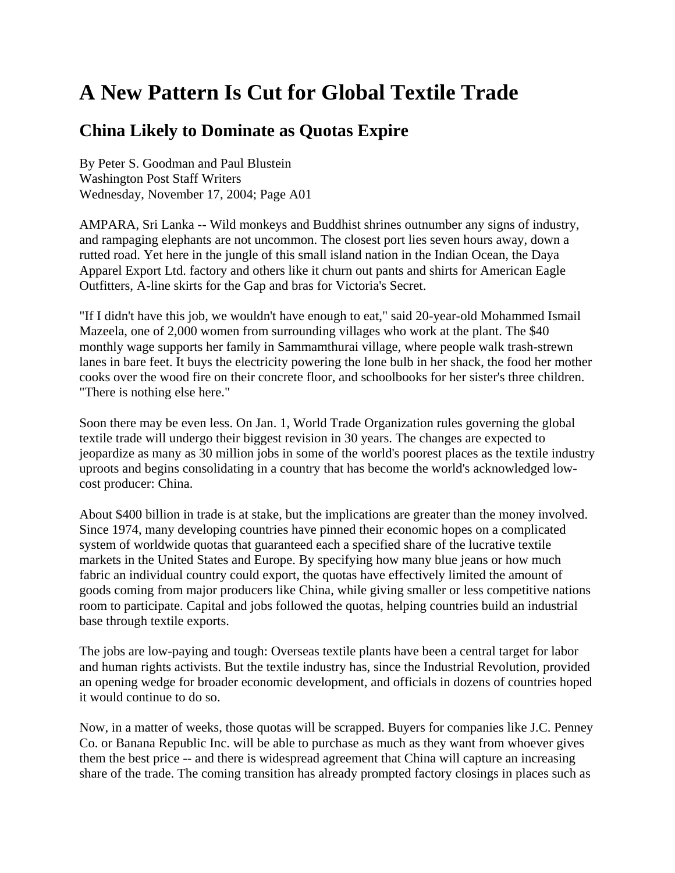## **A New Pattern Is Cut for Global Textile Trade**

## **China Likely to Dominate as Quotas Expire**

By Peter S. Goodman and Paul Blustein Washington Post Staff Writers Wednesday, November 17, 2004; Page A01

AMPARA, Sri Lanka -- Wild monkeys and Buddhist shrines outnumber any signs of industry, and rampaging elephants are not uncommon. The closest port lies seven hours away, down a rutted road. Yet here in the jungle of this small island nation in the Indian Ocean, the Daya Apparel Export Ltd. factory and others like it churn out pants and shirts for American Eagle Outfitters, A-line skirts for the Gap and bras for Victoria's Secret.

"If I didn't have this job, we wouldn't have enough to eat," said 20-year-old Mohammed Ismail Mazeela, one of 2,000 women from surrounding villages who work at the plant. The \$40 monthly wage supports her family in Sammamthurai village, where people walk trash-strewn lanes in bare feet. It buys the electricity powering the lone bulb in her shack, the food her mother cooks over the wood fire on their concrete floor, and schoolbooks for her sister's three children. "There is nothing else here."

Soon there may be even less. On Jan. 1, World Trade Organization rules governing the global textile trade will undergo their biggest revision in 30 years. The changes are expected to jeopardize as many as 30 million jobs in some of the world's poorest places as the textile industry uproots and begins consolidating in a country that has become the world's acknowledged lowcost producer: China.

About \$400 billion in trade is at stake, but the implications are greater than the money involved. Since 1974, many developing countries have pinned their economic hopes on a complicated system of worldwide quotas that guaranteed each a specified share of the lucrative textile markets in the United States and Europe. By specifying how many blue jeans or how much fabric an individual country could export, the quotas have effectively limited the amount of goods coming from major producers like China, while giving smaller or less competitive nations room to participate. Capital and jobs followed the quotas, helping countries build an industrial base through textile exports.

The jobs are low-paying and tough: Overseas textile plants have been a central target for labor and human rights activists. But the textile industry has, since the Industrial Revolution, provided an opening wedge for broader economic development, and officials in dozens of countries hoped it would continue to do so.

Now, in a matter of weeks, those quotas will be scrapped. Buyers for companies like J.C. Penney Co. or Banana Republic Inc. will be able to purchase as much as they want from whoever gives them the best price -- and there is widespread agreement that China will capture an increasing share of the trade. The coming transition has already prompted factory closings in places such as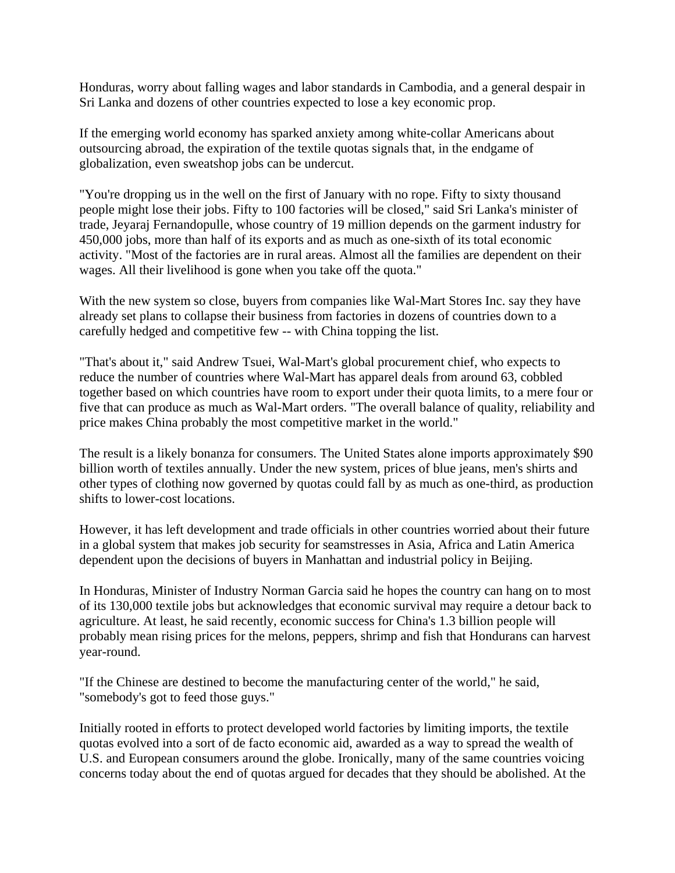Honduras, worry about falling wages and labor standards in Cambodia, and a general despair in Sri Lanka and dozens of other countries expected to lose a key economic prop.

If the emerging world economy has sparked anxiety among white-collar Americans about outsourcing abroad, the expiration of the textile quotas signals that, in the endgame of globalization, even sweatshop jobs can be undercut.

"You're dropping us in the well on the first of January with no rope. Fifty to sixty thousand people might lose their jobs. Fifty to 100 factories will be closed," said Sri Lanka's minister of trade, Jeyaraj Fernandopulle, whose country of 19 million depends on the garment industry for 450,000 jobs, more than half of its exports and as much as one-sixth of its total economic activity. "Most of the factories are in rural areas. Almost all the families are dependent on their wages. All their livelihood is gone when you take off the quota."

With the new system so close, buyers from companies like Wal-Mart Stores Inc. say they have already set plans to collapse their business from factories in dozens of countries down to a carefully hedged and competitive few -- with China topping the list.

"That's about it," said Andrew Tsuei, Wal-Mart's global procurement chief, who expects to reduce the number of countries where Wal-Mart has apparel deals from around 63, cobbled together based on which countries have room to export under their quota limits, to a mere four or five that can produce as much as Wal-Mart orders. "The overall balance of quality, reliability and price makes China probably the most competitive market in the world."

The result is a likely bonanza for consumers. The United States alone imports approximately \$90 billion worth of textiles annually. Under the new system, prices of blue jeans, men's shirts and other types of clothing now governed by quotas could fall by as much as one-third, as production shifts to lower-cost locations.

However, it has left development and trade officials in other countries worried about their future in a global system that makes job security for seamstresses in Asia, Africa and Latin America dependent upon the decisions of buyers in Manhattan and industrial policy in Beijing.

In Honduras, Minister of Industry Norman Garcia said he hopes the country can hang on to most of its 130,000 textile jobs but acknowledges that economic survival may require a detour back to agriculture. At least, he said recently, economic success for China's 1.3 billion people will probably mean rising prices for the melons, peppers, shrimp and fish that Hondurans can harvest year-round.

"If the Chinese are destined to become the manufacturing center of the world," he said, "somebody's got to feed those guys."

Initially rooted in efforts to protect developed world factories by limiting imports, the textile quotas evolved into a sort of de facto economic aid, awarded as a way to spread the wealth of U.S. and European consumers around the globe. Ironically, many of the same countries voicing concerns today about the end of quotas argued for decades that they should be abolished. At the